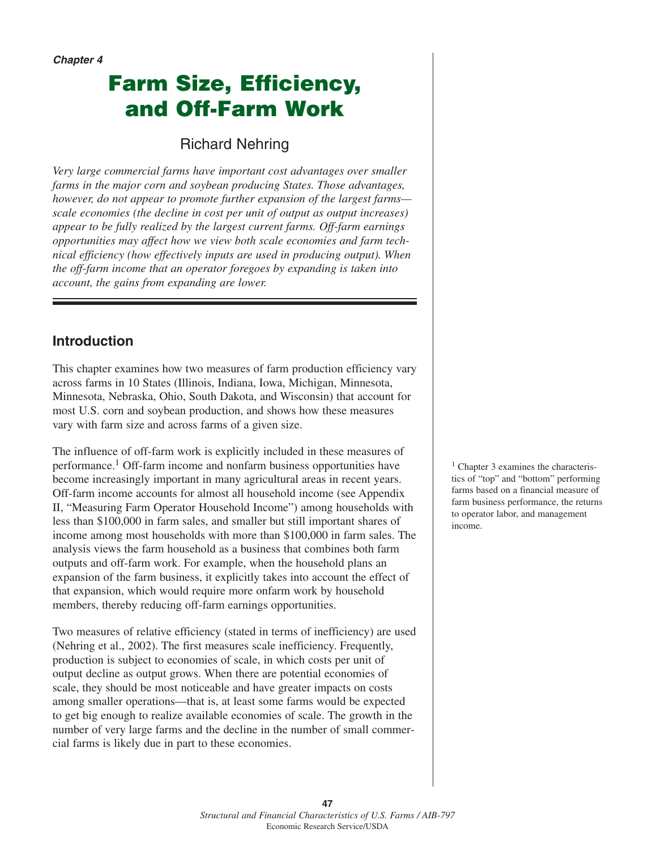**Chapter 4**

# **Farm Size, Efficiency, and Off-Farm Work**

## Richard Nehring

*Very large commercial farms have important cost advantages over smaller farms in the major corn and soybean producing States. Those advantages, however, do not appear to promote further expansion of the largest farms scale economies (the decline in cost per unit of output as output increases) appear to be fully realized by the largest current farms. Off-farm earnings opportunities may affect how we view both scale economies and farm technical efficiency (how effectively inputs are used in producing output). When the off-farm income that an operator foregoes by expanding is taken into account, the gains from expanding are lower.* 

### **Introduction**

This chapter examines how two measures of farm production efficiency vary across farms in 10 States (Illinois, Indiana, Iowa, Michigan, Minnesota, Minnesota, Nebraska, Ohio, South Dakota, and Wisconsin) that account for most U.S. corn and soybean production, and shows how these measures vary with farm size and across farms of a given size.

The influence of off-farm work is explicitly included in these measures of performance.1 Off-farm income and nonfarm business opportunities have become increasingly important in many agricultural areas in recent years. Off-farm income accounts for almost all household income (see Appendix II, "Measuring Farm Operator Household Income") among households with less than \$100,000 in farm sales, and smaller but still important shares of income among most households with more than \$100,000 in farm sales. The analysis views the farm household as a business that combines both farm outputs and off-farm work. For example, when the household plans an expansion of the farm business, it explicitly takes into account the effect of that expansion, which would require more onfarm work by household members, thereby reducing off-farm earnings opportunities.

Two measures of relative efficiency (stated in terms of inefficiency) are used (Nehring et al., 2002). The first measures scale inefficiency. Frequently, production is subject to economies of scale, in which costs per unit of output decline as output grows. When there are potential economies of scale, they should be most noticeable and have greater impacts on costs among smaller operations—that is, at least some farms would be expected to get big enough to realize available economies of scale. The growth in the number of very large farms and the decline in the number of small commercial farms is likely due in part to these economies.

<sup>1</sup> Chapter 3 examines the characteristics of "top" and "bottom" performing farms based on a financial measure of farm business performance, the returns to operator labor, and management income.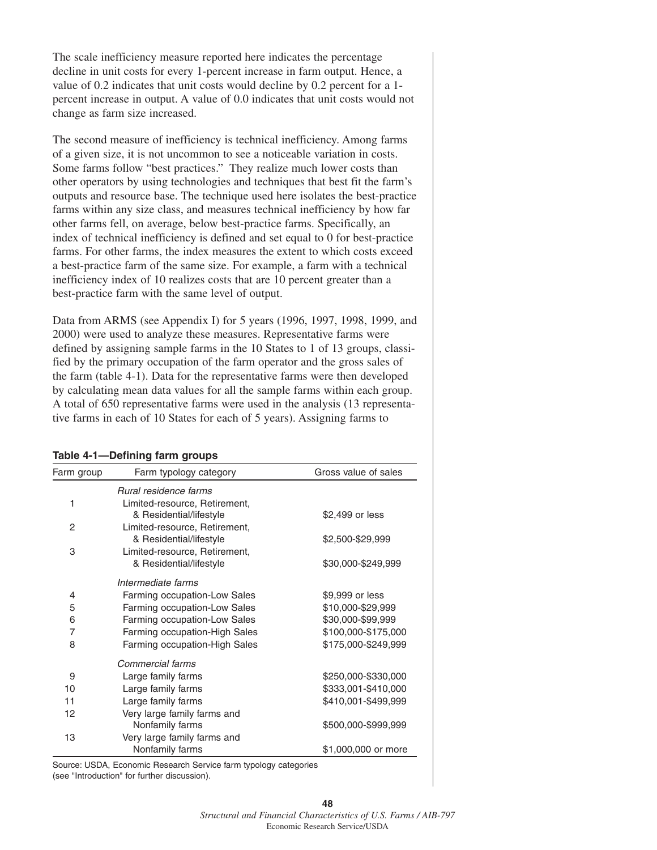The scale inefficiency measure reported here indicates the percentage decline in unit costs for every 1-percent increase in farm output. Hence, a value of 0.2 indicates that unit costs would decline by 0.2 percent for a 1 percent increase in output. A value of 0.0 indicates that unit costs would not change as farm size increased.

The second measure of inefficiency is technical inefficiency. Among farms of a given size, it is not uncommon to see a noticeable variation in costs. Some farms follow "best practices." They realize much lower costs than other operators by using technologies and techniques that best fit the farm's outputs and resource base. The technique used here isolates the best-practice farms within any size class, and measures technical inefficiency by how far other farms fell, on average, below best-practice farms. Specifically, an index of technical inefficiency is defined and set equal to 0 for best-practice farms. For other farms, the index measures the extent to which costs exceed a best-practice farm of the same size. For example, a farm with a technical inefficiency index of 10 realizes costs that are 10 percent greater than a best-practice farm with the same level of output.

Data from ARMS (see Appendix I) for 5 years (1996, 1997, 1998, 1999, and 2000) were used to analyze these measures. Representative farms were defined by assigning sample farms in the 10 States to 1 of 13 groups, classified by the primary occupation of the farm operator and the gross sales of the farm (table 4-1). Data for the representative farms were then developed by calculating mean data values for all the sample farms within each group. A total of 650 representative farms were used in the analysis (13 representative farms in each of 10 States for each of 5 years). Assigning farms to

#### **Table 4-1—Defining farm groups**

| Farm group | Farm typology category        | Gross value of sales |
|------------|-------------------------------|----------------------|
|            | Rural residence farms         |                      |
| 1          | Limited-resource, Retirement, |                      |
|            | & Residential/lifestyle       | \$2,499 or less      |
| 2          | Limited-resource, Retirement, |                      |
|            | & Residential/lifestyle       | \$2,500-\$29,999     |
| 3          | Limited-resource, Retirement, |                      |
|            | & Residential/lifestyle       | \$30,000-\$249,999   |
|            | Intermediate farms            |                      |
| 4          | Farming occupation-Low Sales  | \$9,999 or less      |
| 5          | Farming occupation-Low Sales  | \$10,000-\$29,999    |
| 6          | Farming occupation-Low Sales  | \$30,000-\$99,999    |
| 7          | Farming occupation-High Sales | \$100,000-\$175,000  |
| 8          | Farming occupation-High Sales | \$175,000-\$249,999  |
|            | Commercial farms              |                      |
| 9          | Large family farms            | \$250,000-\$330,000  |
| 10         | Large family farms            | \$333,001-\$410,000  |
| 11         | Large family farms            | \$410,001-\$499,999  |
| 12         | Very large family farms and   |                      |
|            | Nonfamily farms               | \$500,000-\$999,999  |
| 13         | Very large family farms and   |                      |
|            | Nonfamily farms               | \$1,000,000 or more  |

Source: USDA, Economic Research Service farm typology categories (see "Introduction" for further discussion).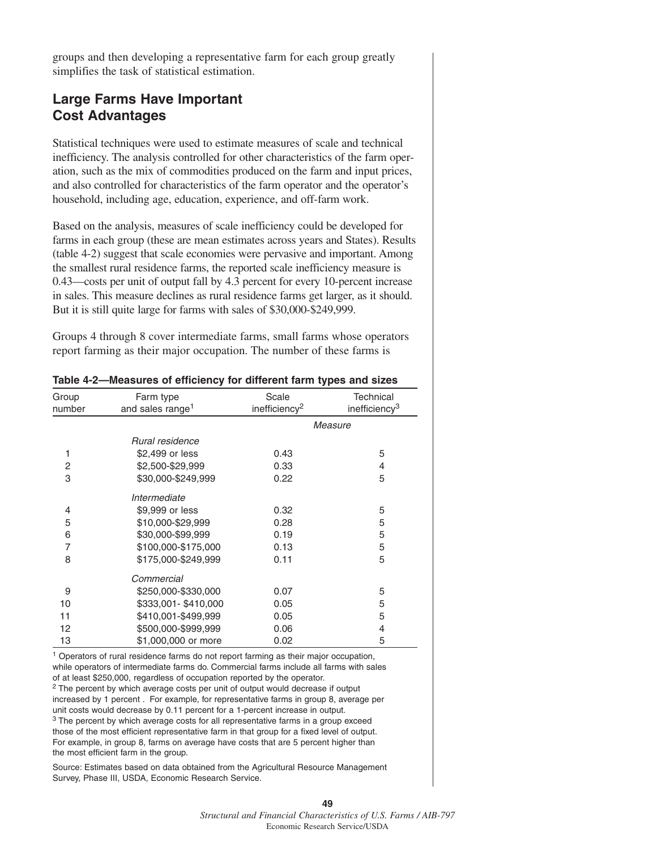groups and then developing a representative farm for each group greatly simplifies the task of statistical estimation.

#### **Large Farms Have Important Cost Advantages**

Statistical techniques were used to estimate measures of scale and technical inefficiency. The analysis controlled for other characteristics of the farm operation, such as the mix of commodities produced on the farm and input prices, and also controlled for characteristics of the farm operator and the operator's household, including age, education, experience, and off-farm work.

Based on the analysis, measures of scale inefficiency could be developed for farms in each group (these are mean estimates across years and States). Results (table 4-2) suggest that scale economies were pervasive and important. Among the smallest rural residence farms, the reported scale inefficiency measure is 0.43—costs per unit of output fall by 4.3 percent for every 10-percent increase in sales. This measure declines as rural residence farms get larger, as it should. But it is still quite large for farms with sales of \$30,000-\$249,999.

Groups 4 through 8 cover intermediate farms, small farms whose operators report farming as their major occupation. The number of these farms is

| Table 4-2—Measures of efficiency for different farm types and sizes |                                           |                                    |                                               |  |
|---------------------------------------------------------------------|-------------------------------------------|------------------------------------|-----------------------------------------------|--|
| Group<br>number                                                     | Farm type<br>and sales range <sup>1</sup> | Scale<br>inefficiency <sup>2</sup> | <b>Technical</b><br>inefficiency <sup>3</sup> |  |
|                                                                     |                                           | Measure                            |                                               |  |
|                                                                     | Rural residence                           |                                    |                                               |  |
| 1                                                                   | \$2,499 or less                           | 0.43                               | 5                                             |  |
| 2                                                                   | \$2,500-\$29,999                          | 0.33                               | 4                                             |  |
| 3                                                                   | \$30,000-\$249,999                        | 0.22                               | 5                                             |  |
|                                                                     | Intermediate                              |                                    |                                               |  |
| 4                                                                   | \$9,999 or less                           | 0.32                               | 5                                             |  |
| 5                                                                   | \$10,000-\$29,999                         | 0.28                               | 5                                             |  |
| 6                                                                   | \$30,000-\$99,999                         | 0.19                               | 5                                             |  |
| 7                                                                   | \$100,000-\$175,000                       | 0.13                               | 5                                             |  |
| 8                                                                   | \$175,000-\$249,999                       | 0.11                               | 5                                             |  |
|                                                                     | Commercial                                |                                    |                                               |  |
| 9                                                                   | \$250,000-\$330,000                       | 0.07                               | 5                                             |  |
| 10                                                                  | \$333,001-\$410,000                       | 0.05                               | 5                                             |  |
| 11                                                                  | \$410,001-\$499,999                       | 0.05                               | 5                                             |  |
| 12                                                                  | \$500,000-\$999,999                       | 0.06                               | 4                                             |  |
| 13                                                                  | \$1,000,000 or more                       | 0.02                               | 5                                             |  |

<sup>1</sup> Operators of rural residence farms do not report farming as their major occupation, while operators of intermediate farms do. Commercial farms include all farms with sales of at least \$250,000, regardless of occupation reported by the operator.  $2$  The percent by which average costs per unit of output would decrease if output increased by 1 percent . For example, for representative farms in group 8, average per unit costs would decrease by 0.11 percent for a 1-percent increase in output. <sup>3</sup> The percent by which average costs for all representative farms in a group exceed those of the most efficient representative farm in that group for a fixed level of output. For example, in group 8, farms on average have costs that are 5 percent higher than the most efficient farm in the group.

Source: Estimates based on data obtained from the Agricultural Resource Management Survey, Phase III, USDA, Economic Research Service.